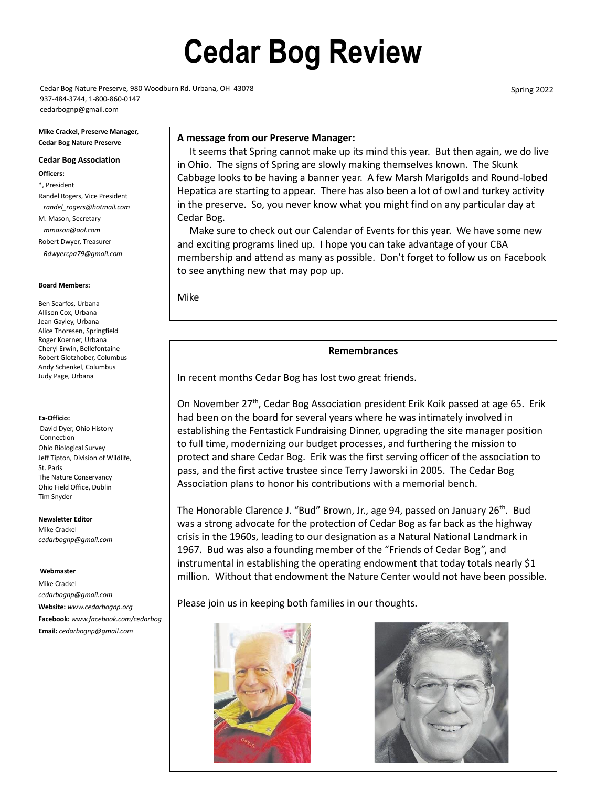# **Cedar Bog Review**

Cedar Bog Nature Preserve, 980 Woodburn Rd. Urbana, OH 43078 937-484-3744, 1-800-860-0147 cedarbognp@gmail.com

Spring 2022

#### **A message from our Preserve Manager:**

 It seems that Spring cannot make up its mind this year. But then again, we do live in Ohio. The signs of Spring are slowly making themselves known. The Skunk Cabbage looks to be having a banner year. A few Marsh Marigolds and Round-lobed Hepatica are starting to appear. There has also been a lot of owl and turkey activity in the preserve. So, you never know what you might find on any particular day at Cedar Bog.

 Make sure to check out our Calendar of Events for this year. We have some new and exciting programs lined up. I hope you can take advantage of your CBA membership and attend as many as possible. Don't forget to follow us on Facebook to see anything new that may pop up.

Mike

#### **Remembrances**

In recent months Cedar Bog has lost two great friends.

On November 27th, Cedar Bog Association president Erik Koik passed at age 65. Erik had been on the board for several years where he was intimately involved in establishing the Fentastick Fundraising Dinner, upgrading the site manager position to full time, modernizing our budget processes, and furthering the mission to protect and share Cedar Bog. Erik was the first serving officer of the association to pass, and the first active trustee since Terry Jaworski in 2005. The Cedar Bog Association plans to honor his contributions with a memorial bench.

The Honorable Clarence J. "Bud" Brown, Jr., age 94, passed on January 26<sup>th</sup>. Bud was a strong advocate for the protection of Cedar Bog as far back as the highway crisis in the 1960s, leading to our designation as a Natural National Landmark in 1967. Bud was also a founding member of the "Friends of Cedar Bog", and instrumental in establishing the operating endowment that today totals nearly \$1 million. Without that endowment the Nature Center would not have been possible.

Please join us in keeping both families in our thoughts.





#### **Mike Crackel, Preserve Manager, Cedar Bog Nature Preserve**

#### **Cedar Bog Association**

- **Officers:**
- \*, President Randel Rogers, Vice President *randel\_rogers@hotmail.com* M. Mason, Secretary *mmason@aol.com* Robert Dwyer, Treasurer  *Rdwyercpa79@gmail.com*

#### **Board Members:**

Ben Searfos, Urbana Allison Cox, Urbana Jean Gayley, Urbana Alice Thoresen, Springfield Roger Koerner, Urbana Cheryl Erwin, Bellefontaine Robert Glotzhober, Columbus Andy Schenkel, Columbus Judy Page, Urbana

#### **Ex-Officio:**

David Dyer, Ohio History Connection Ohio Biological Survey Jeff Tipton, Division of Wildlife, St. Paris The Nature Conservancy Ohio Field Office, Dublin Tim Snyder

#### **Newsletter Editor**

Mike Crackel *cedarbognp@gmail.com*

#### **Webmaster**

Mike Crackel *cedarbognp@gmail.com* **Website:** *www.cedarbognp.org*  **Facebook:** *www.facebook.com/cedarbog* **Email:** *cedarbognp@gmail.com*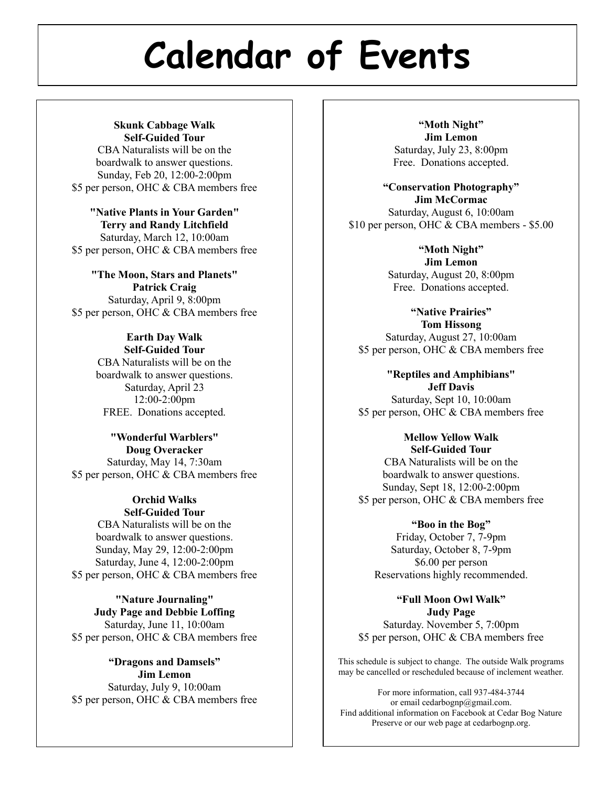# **Calendar of Events**

#### **Skunk Cabbage Walk Self-Guided Tour**

CBA Naturalists will be on the boardwalk to answer questions. Sunday, Feb 20, 12:00-2:00pm \$5 per person, OHC & CBA members free

**"Native Plants in Your Garden" Terry and Randy Litchfield** Saturday, March 12, 10:00am \$5 per person, OHC & CBA members free

**"The Moon, Stars and Planets" Patrick Craig** Saturday, April 9, 8:00pm \$5 per person, OHC & CBA members free

# **Earth Day Walk Self-Guided Tour** CBA Naturalists will be on the

boardwalk to answer questions. Saturday, April 23 12:00-2:00pm FREE. Donations accepted.

## **"Wonderful Warblers" Doug Overacker** Saturday, May 14, 7:30am \$5 per person, OHC & CBA members free

#### **Orchid Walks Self-Guided Tour**

CBA Naturalists will be on the boardwalk to answer questions. Sunday, May 29, 12:00-2:00pm Saturday, June 4, 12:00-2:00pm \$5 per person, OHC & CBA members free

**"Nature Journaling" Judy Page and Debbie Loffing** Saturday, June 11, 10:00am \$5 per person, OHC & CBA members free

## **"Dragons and Damsels" Jim Lemon** Saturday, July 9, 10:00am \$5 per person, OHC & CBA members free

**"Moth Night" Jim Lemon** Saturday, July 23, 8:00pm Free. Donations accepted.

**"Conservation Photography" Jim McCormac** Saturday, August 6, 10:00am \$10 per person, OHC & CBA members - \$5.00

> **"Moth Night" Jim Lemon** Saturday, August 20, 8:00pm Free. Donations accepted.

**"Native Prairies" Tom Hissong** Saturday, August 27, 10:00am \$5 per person, OHC & CBA members free

**"Reptiles and Amphibians" Jeff Davis** Saturday, Sept 10, 10:00am \$5 per person, OHC & CBA members free

**Mellow Yellow Walk Self-Guided Tour** CBA Naturalists will be on the boardwalk to answer questions. Sunday, Sept 18, 12:00-2:00pm \$5 per person, OHC & CBA members free

# **"Boo in the Bog"**

Friday, October 7, 7-9pm Saturday, October 8, 7-9pm \$6.00 per person Reservations highly recommended.

**"Full Moon Owl Walk" Judy Page** Saturday. November 5, 7:00pm \$5 per person, OHC & CBA members free

This schedule is subject to change. The outside Walk programs may be cancelled or rescheduled because of inclement weather.

For more information, call 937-484-3744 or email cedarbognp@gmail.com. Find additional information on Facebook at Cedar Bog Nature Preserve or our web page at cedarbognp.org.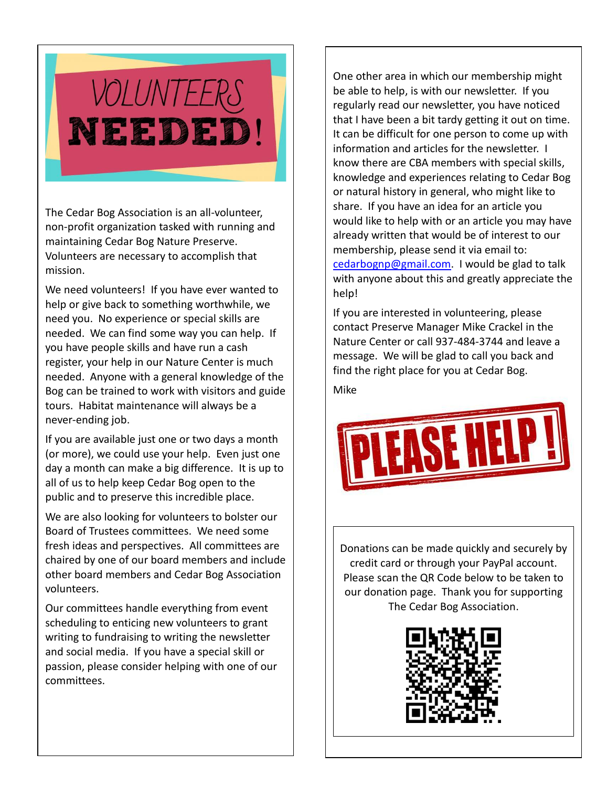

The Cedar Bog Association is an all-volunteer, non-profit organization tasked with running and maintaining Cedar Bog Nature Preserve. Volunteers are necessary to accomplish that mission.

We need volunteers! If you have ever wanted to help or give back to something worthwhile, we need you. No experience or special skills are needed. We can find some way you can help. If you have people skills and have run a cash register, your help in our Nature Center is much needed. Anyone with a general knowledge of the Bog can be trained to work with visitors and guide tours. Habitat maintenance will always be a never-ending job.

If you are available just one or two days a month (or more), we could use your help. Even just one day a month can make a big difference. It is up to all of us to help keep Cedar Bog open to the public and to preserve this incredible place.

We are also looking for volunteers to bolster our Board of Trustees committees. We need some fresh ideas and perspectives. All committees are chaired by one of our board members and include other board members and Cedar Bog Association volunteers.

Our committees handle everything from event scheduling to enticing new volunteers to grant writing to fundraising to writing the newsletter and social media. If you have a special skill or passion, please consider helping with one of our committees.

One other area in which our membership might be able to help, is with our newsletter. If you regularly read our newsletter, you have noticed that I have been a bit tardy getting it out on time. It can be difficult for one person to come up with information and articles for the newsletter. I know there are CBA members with special skills, knowledge and experiences relating to Cedar Bog or natural history in general, who might like to share. If you have an idea for an article you would like to help with or an article you may have already written that would be of interest to our membership, please send it via email to: [cedarbognp@gmail.com.](mailto:cedarbognp@gmail.com) I would be glad to talk with anyone about this and greatly appreciate the help!

If you are interested in volunteering, please contact Preserve Manager Mike Crackel in the Nature Center or call 937-484-3744 and leave a message. We will be glad to call you back and find the right place for you at Cedar Bog.

Mike



Donations can be made quickly and securely by credit card or through your PayPal account. Please scan the QR Code below to be taken to our donation page. Thank you for supporting The Cedar Bog Association.

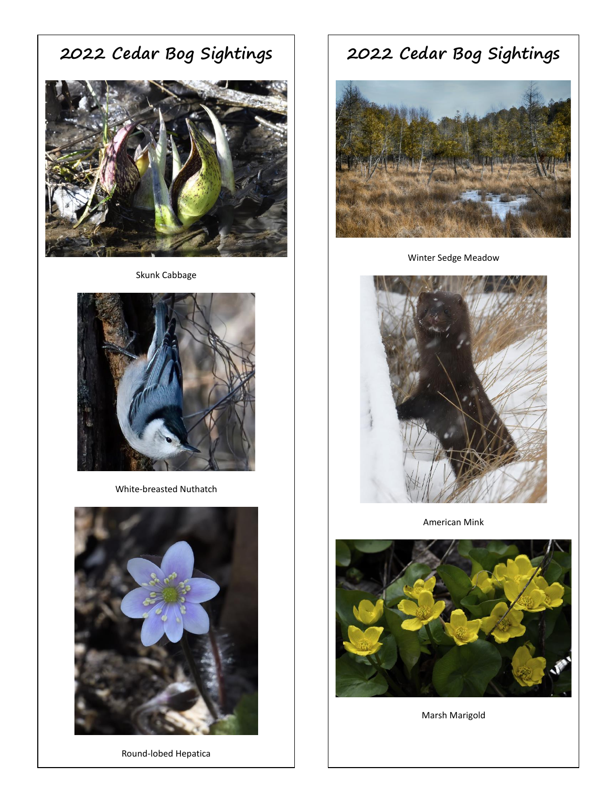**2022 Cedar Bog Sightings**



Skunk Cabbage



White-breasted Nuthatch



Round-lobed Hepatica

# **2022 Cedar Bog Sightings**



Winter Sedge Meadow



American Mink



Marsh Marigold